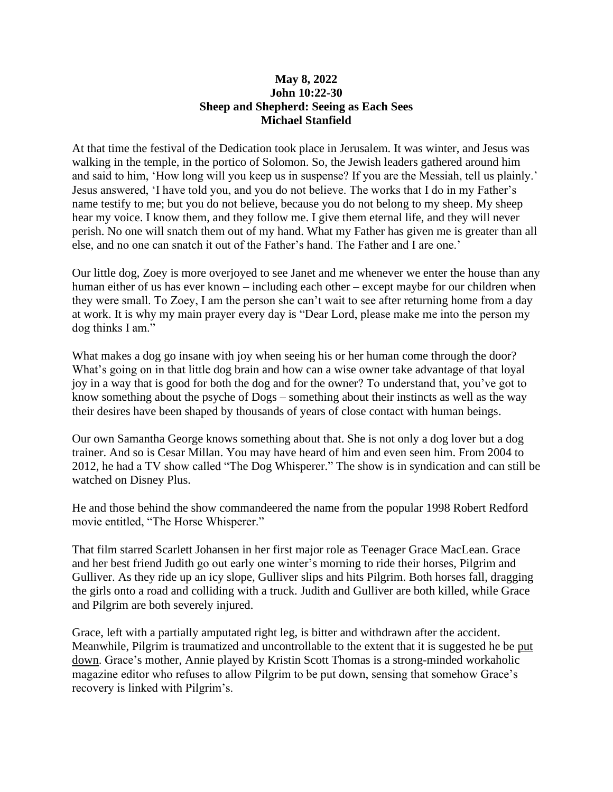## **May 8, 2022 John 10:22-30 Sheep and Shepherd: Seeing as Each Sees Michael Stanfield**

At that time the festival of the Dedication took place in Jerusalem. It was winter, and Jesus was walking in the temple, in the portico of Solomon. So, the Jewish leaders gathered around him and said to him, 'How long will you keep us in suspense? If you are the Messiah, tell us plainly.' Jesus answered, 'I have told you, and you do not believe. The works that I do in my Father's name testify to me; but you do not believe, because you do not belong to my sheep. My sheep hear my voice. I know them, and they follow me. I give them eternal life, and they will never perish. No one will snatch them out of my hand. What my Father has given me is greater than all else, and no one can snatch it out of the Father's hand. The Father and I are one.'

Our little dog, Zoey is more overjoyed to see Janet and me whenever we enter the house than any human either of us has ever known – including each other – except maybe for our children when they were small. To Zoey, I am the person she can't wait to see after returning home from a day at work. It is why my main prayer every day is "Dear Lord, please make me into the person my dog thinks I am."

What makes a dog go insane with joy when seeing his or her human come through the door? What's going on in that little dog brain and how can a wise owner take advantage of that loyal joy in a way that is good for both the dog and for the owner? To understand that, you've got to know something about the psyche of Dogs – something about their instincts as well as the way their desires have been shaped by thousands of years of close contact with human beings.

Our own Samantha George knows something about that. She is not only a dog lover but a dog trainer. And so is Cesar Millan. You may have heard of him and even seen him. From 2004 to 2012, he had a TV show called "The Dog Whisperer." The show is in syndication and can still be watched on Disney Plus.

He and those behind the show commandeered the name from the popular 1998 Robert Redford movie entitled, "The Horse Whisperer."

That film starred Scarlett Johansen in her first major role as Teenager Grace MacLean. Grace and her best friend Judith go out early one winter's morning to ride their horses, Pilgrim and Gulliver. As they ride up an icy slope, Gulliver slips and hits Pilgrim. Both horses fall, dragging the girls onto a road and colliding with a truck. Judith and Gulliver are both killed, while Grace and Pilgrim are both severely injured.

Grace, left with a partially amputated right leg, is bitter and withdrawn after the accident. Meanwhile, Pilgrim is traumatized and uncontrollable to the extent that it is suggested he be [put](https://en.wikipedia.org/wiki/Animal_euthanasia)  [down.](https://en.wikipedia.org/wiki/Animal_euthanasia) Grace's mother, Annie played by Kristin Scott Thomas is a strong-minded workaholic magazine editor who refuses to allow Pilgrim to be put down, sensing that somehow Grace's recovery is linked with Pilgrim's.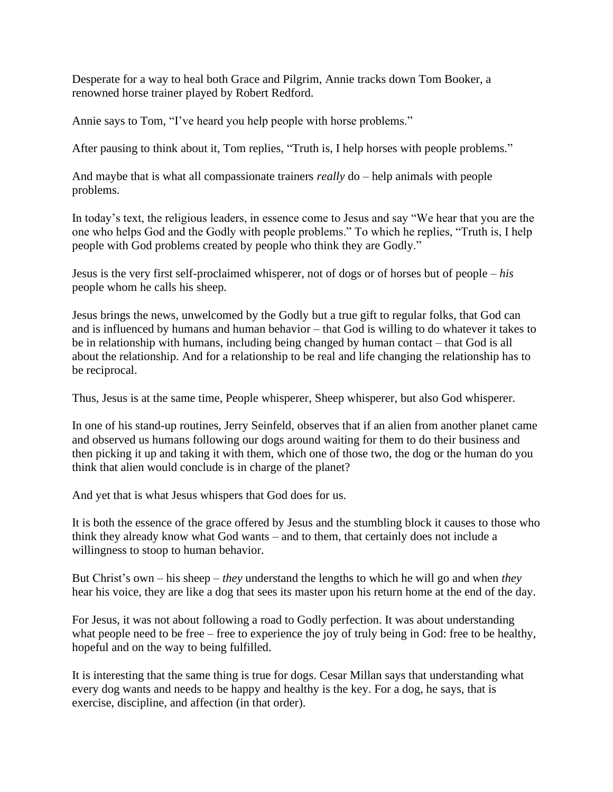Desperate for a way to heal both Grace and Pilgrim, Annie tracks down Tom Booker, a renowned horse trainer played by Robert Redford.

Annie says to Tom, "I've heard you help people with horse problems."

After pausing to think about it, Tom replies, "Truth is, I help horses with people problems."

And maybe that is what all compassionate trainers *really* do – help animals with people problems.

In today's text, the religious leaders, in essence come to Jesus and say "We hear that you are the one who helps God and the Godly with people problems." To which he replies, "Truth is, I help people with God problems created by people who think they are Godly."

Jesus is the very first self-proclaimed whisperer, not of dogs or of horses but of people – *his* people whom he calls his sheep.

Jesus brings the news, unwelcomed by the Godly but a true gift to regular folks, that God can and is influenced by humans and human behavior – that God is willing to do whatever it takes to be in relationship with humans, including being changed by human contact – that God is all about the relationship. And for a relationship to be real and life changing the relationship has to be reciprocal.

Thus, Jesus is at the same time, People whisperer, Sheep whisperer, but also God whisperer.

In one of his stand-up routines, Jerry Seinfeld, observes that if an alien from another planet came and observed us humans following our dogs around waiting for them to do their business and then picking it up and taking it with them, which one of those two, the dog or the human do you think that alien would conclude is in charge of the planet?

And yet that is what Jesus whispers that God does for us.

It is both the essence of the grace offered by Jesus and the stumbling block it causes to those who think they already know what God wants – and to them, that certainly does not include a willingness to stoop to human behavior.

But Christ's own – his sheep – *they* understand the lengths to which he will go and when *they* hear his voice, they are like a dog that sees its master upon his return home at the end of the day.

For Jesus, it was not about following a road to Godly perfection. It was about understanding what people need to be free – free to experience the joy of truly being in God: free to be healthy, hopeful and on the way to being fulfilled.

It is interesting that the same thing is true for dogs. Cesar Millan says that understanding what every dog wants and needs to be happy and healthy is the key. For a dog, he says, that is exercise, discipline, and affection (in that order).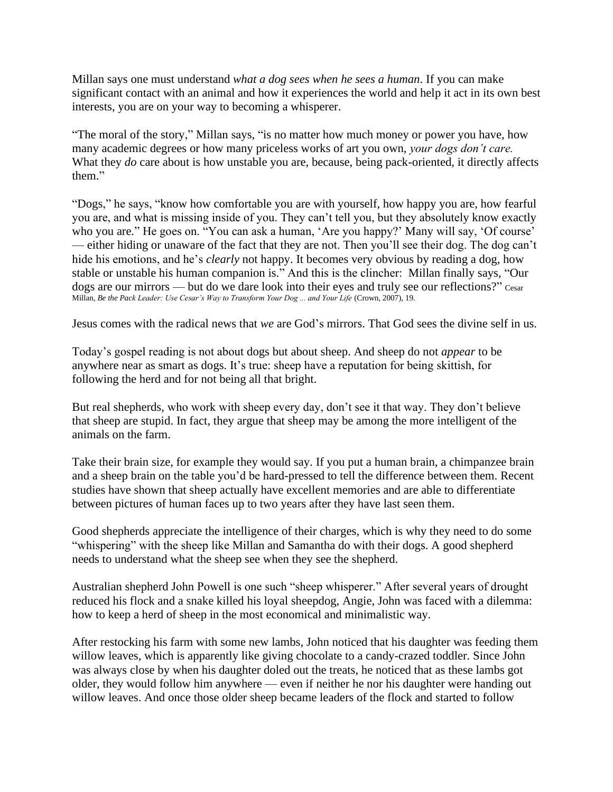Millan says one must understand *what a dog sees when he sees a human*. If you can make significant contact with an animal and how it experiences the world and help it act in its own best interests, you are on your way to becoming a whisperer.

"The moral of the story," Millan says, "is no matter how much money or power you have, how many academic degrees or how many priceless works of art you own, *your dogs don't care.* What they *do* care about is how unstable you are, because, being pack-oriented, it directly affects them."

"Dogs," he says, "know how comfortable you are with yourself, how happy you are, how fearful you are, and what is missing inside of you. They can't tell you, but they absolutely know exactly who you are." He goes on. "You can ask a human, 'Are you happy?' Many will say, 'Of course' — either hiding or unaware of the fact that they are not. Then you'll see their dog. The dog can't hide his emotions, and he's *clearly* not happy. It becomes very obvious by reading a dog, how stable or unstable his human companion is." And this is the clincher: Millan finally says, "Our dogs are our mirrors — but do we dare look into their eyes and truly see our reflections?" Cesar Millan, *Be the Pack Leader: Use Cesar's Way to Transform Your Dog ... and Your Life* (Crown, 2007), 19.

Jesus comes with the radical news that *we* are God's mirrors. That God sees the divine self in us.

Today's gospel reading is not about dogs but about sheep. And sheep do not *appear* to be anywhere near as smart as dogs. It's true: sheep have a reputation for being skittish, for following the herd and for not being all that bright.

But real shepherds, who work with sheep every day, don't see it that way. They don't believe that sheep are stupid. In fact, they argue that sheep may be among the more intelligent of the animals on the farm.

Take their brain size, for example they would say. If you put a human brain, a chimpanzee brain and a sheep brain on the table you'd be hard-pressed to tell the difference between them. Recent studies have shown that sheep actually have excellent memories and are able to differentiate between pictures of human faces up to two years after they have last seen them.

Good shepherds appreciate the intelligence of their charges, which is why they need to do some "whispering" with the sheep like Millan and Samantha do with their dogs. A good shepherd needs to understand what the sheep see when they see the shepherd.

Australian shepherd John Powell is one such "sheep whisperer." After several years of drought reduced his flock and a snake killed his loyal sheepdog, Angie, John was faced with a dilemma: how to keep a herd of sheep in the most economical and minimalistic way.

After restocking his farm with some new lambs, John noticed that his daughter was feeding them willow leaves, which is apparently like giving chocolate to a candy-crazed toddler. Since John was always close by when his daughter doled out the treats, he noticed that as these lambs got older, they would follow him anywhere — even if neither he nor his daughter were handing out willow leaves. And once those older sheep became leaders of the flock and started to follow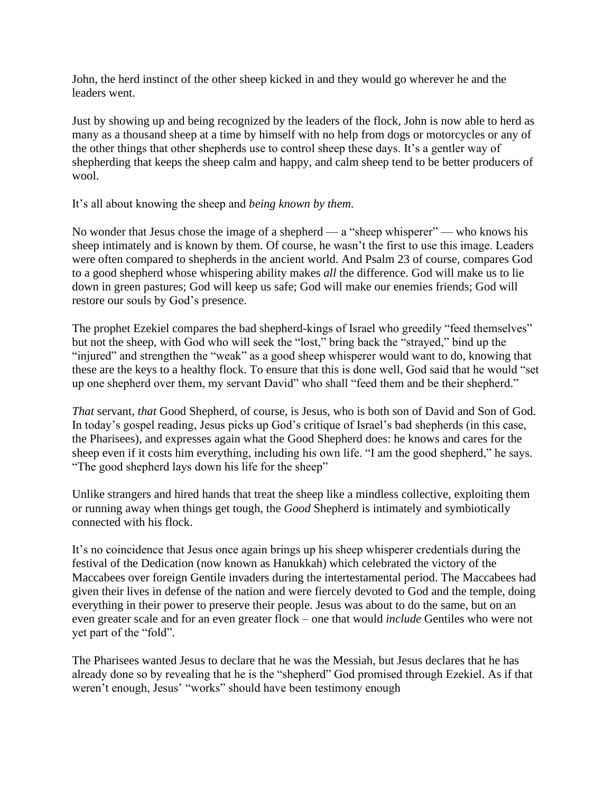John, the herd instinct of the other sheep kicked in and they would go wherever he and the leaders went.

Just by showing up and being recognized by the leaders of the flock, John is now able to herd as many as a thousand sheep at a time by himself with no help from dogs or motorcycles or any of the other things that other shepherds use to control sheep these days. It's a gentler way of shepherding that keeps the sheep calm and happy, and calm sheep tend to be better producers of wool.

## It's all about knowing the sheep and *being known by them*.

No wonder that Jesus chose the image of a shepherd — a "sheep whisperer" — who knows his sheep intimately and is known by them. Of course, he wasn't the first to use this image. Leaders were often compared to shepherds in the ancient world. And Psalm 23 of course, compares God to a good shepherd whose whispering ability makes *all* the difference. God will make us to lie down in green pastures; God will keep us safe; God will make our enemies friends; God will restore our souls by God's presence.

The prophet Ezekiel compares the bad shepherd-kings of Israel who greedily "feed themselves" but not the sheep, with God who will seek the "lost," bring back the "strayed," bind up the "injured" and strengthen the "weak" as a good sheep whisperer would want to do, knowing that these are the keys to a healthy flock. To ensure that this is done well, God said that he would "set up one shepherd over them, my servant David" who shall "feed them and be their shepherd."

*That* servant, *that* Good Shepherd, of course, is Jesus, who is both son of David and Son of God. In today's gospel reading, Jesus picks up God's critique of Israel's bad shepherds (in this case, the Pharisees), and expresses again what the Good Shepherd does: he knows and cares for the sheep even if it costs him everything, including his own life. "I am the good shepherd," he says. "The good shepherd lays down his life for the sheep"

Unlike strangers and hired hands that treat the sheep like a mindless collective, exploiting them or running away when things get tough, the *Good* Shepherd is intimately and symbiotically connected with his flock.

It's no coincidence that Jesus once again brings up his sheep whisperer credentials during the festival of the Dedication (now known as Hanukkah) which celebrated the victory of the Maccabees over foreign Gentile invaders during the intertestamental period. The Maccabees had given their lives in defense of the nation and were fiercely devoted to God and the temple, doing everything in their power to preserve their people. Jesus was about to do the same, but on an even greater scale and for an even greater flock – one that would *include* Gentiles who were not yet part of the "fold".

The Pharisees wanted Jesus to declare that he was the Messiah, but Jesus declares that he has already done so by revealing that he is the "shepherd" God promised through Ezekiel. As if that weren't enough, Jesus' "works" should have been testimony enough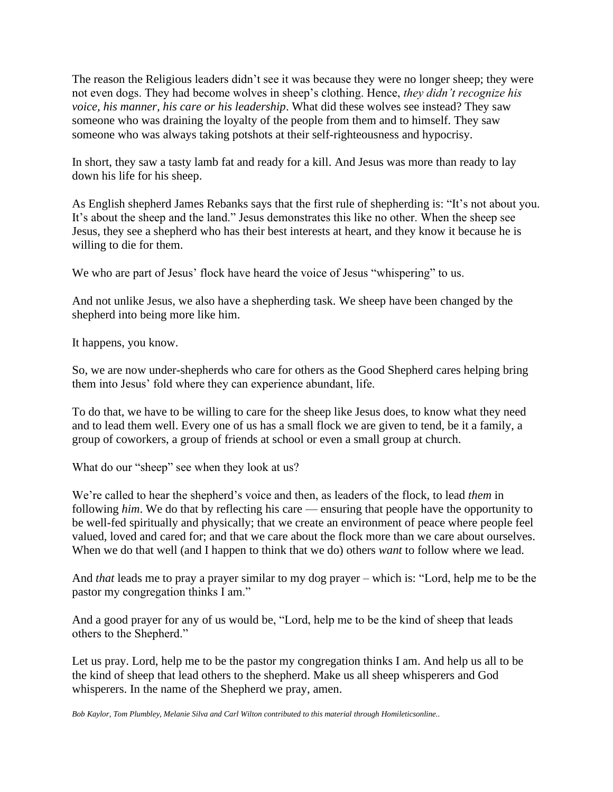The reason the Religious leaders didn't see it was because they were no longer sheep; they were not even dogs. They had become wolves in sheep's clothing. Hence, *they didn't recognize his voice, his manner, his care or his leadership*. What did these wolves see instead? They saw someone who was draining the loyalty of the people from them and to himself. They saw someone who was always taking potshots at their self-righteousness and hypocrisy.

In short, they saw a tasty lamb fat and ready for a kill. And Jesus was more than ready to lay down his life for his sheep.

As English shepherd James Rebanks says that the first rule of shepherding is: "It's not about you. It's about the sheep and the land." Jesus demonstrates this like no other. When the sheep see Jesus, they see a shepherd who has their best interests at heart, and they know it because he is willing to die for them.

We who are part of Jesus' flock have heard the voice of Jesus "whispering" to us.

And not unlike Jesus, we also have a shepherding task. We sheep have been changed by the shepherd into being more like him.

It happens, you know.

So, we are now under-shepherds who care for others as the Good Shepherd cares helping bring them into Jesus' fold where they can experience abundant, life.

To do that, we have to be willing to care for the sheep like Jesus does, to know what they need and to lead them well. Every one of us has a small flock we are given to tend, be it a family, a group of coworkers, a group of friends at school or even a small group at church.

What do our "sheep" see when they look at us?

We're called to hear the shepherd's voice and then, as leaders of the flock, to lead *them* in following *him*. We do that by reflecting his care — ensuring that people have the opportunity to be well-fed spiritually and physically; that we create an environment of peace where people feel valued, loved and cared for; and that we care about the flock more than we care about ourselves. When we do that well (and I happen to think that we do) others *want* to follow where we lead.

And *that* leads me to pray a prayer similar to my dog prayer – which is: "Lord, help me to be the pastor my congregation thinks I am."

And a good prayer for any of us would be, "Lord, help me to be the kind of sheep that leads others to the Shepherd."

Let us pray. Lord, help me to be the pastor my congregation thinks I am. And help us all to be the kind of sheep that lead others to the shepherd. Make us all sheep whisperers and God whisperers. In the name of the Shepherd we pray, amen.

*Bob Kaylor, Tom Plumbley, Melanie Silva and Carl Wilton contributed to this material through Homileticsonline..*